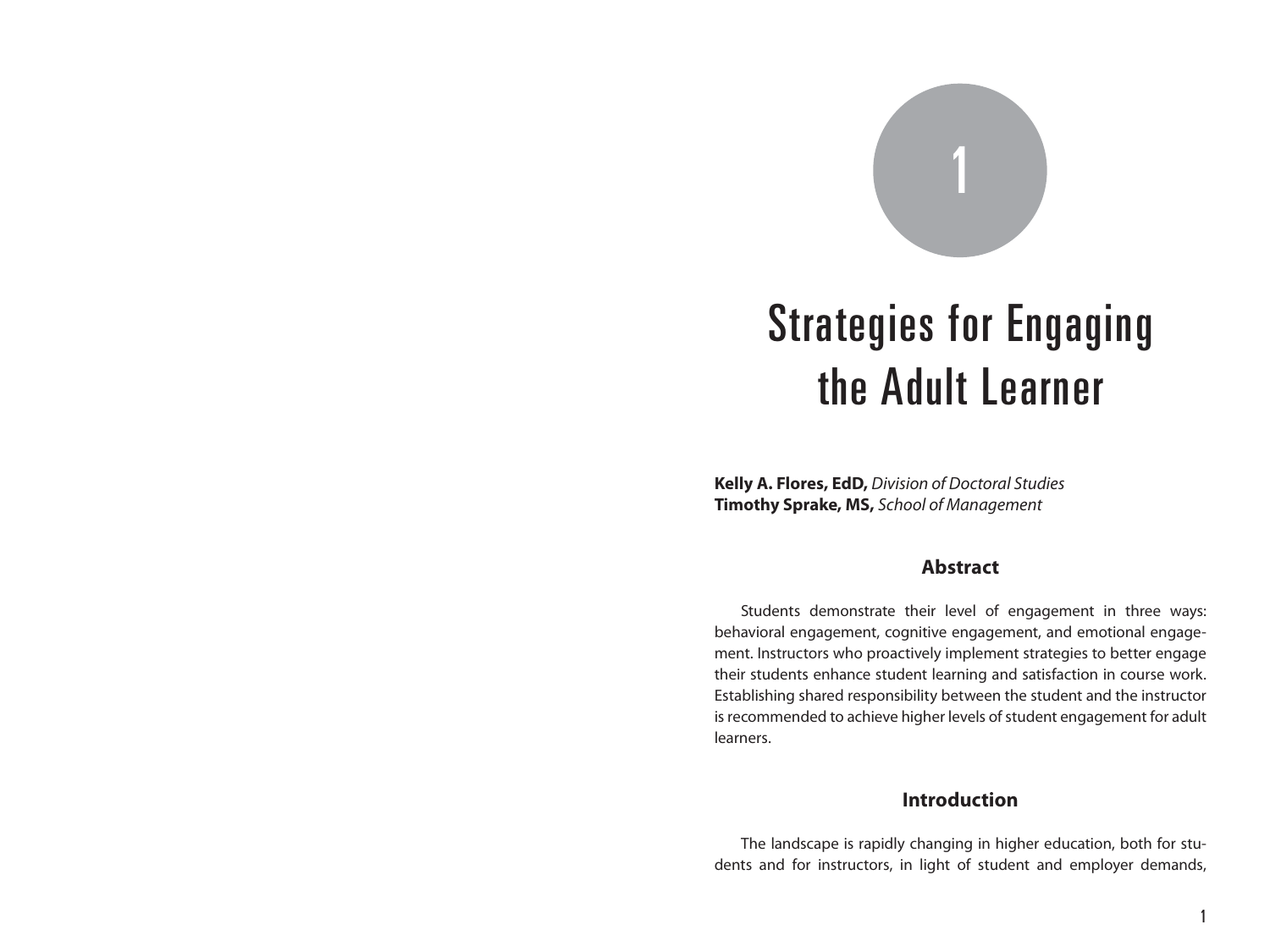# Strategies for Engaging the Adult Learner

1

**Kelly A. Flores, EdD,** *Division of Doctoral Studies* **Timothy Sprake, MS,** *School of Management*

## **Abstract**

Students demonstrate their level of engagement in three ways: behavioral engagement, cognitive engagement, and emotional engagement. Instructors who proactively implement strategies to better engage their students enhance student learning and satisfaction in course work. Establishing shared responsibility between the student and the instructor is recommended to achieve higher levels of student engagement for adult learners.

## **Introduction**

The landscape is rapidly changing in higher education, both for students and for instructors, in light of student and employer demands,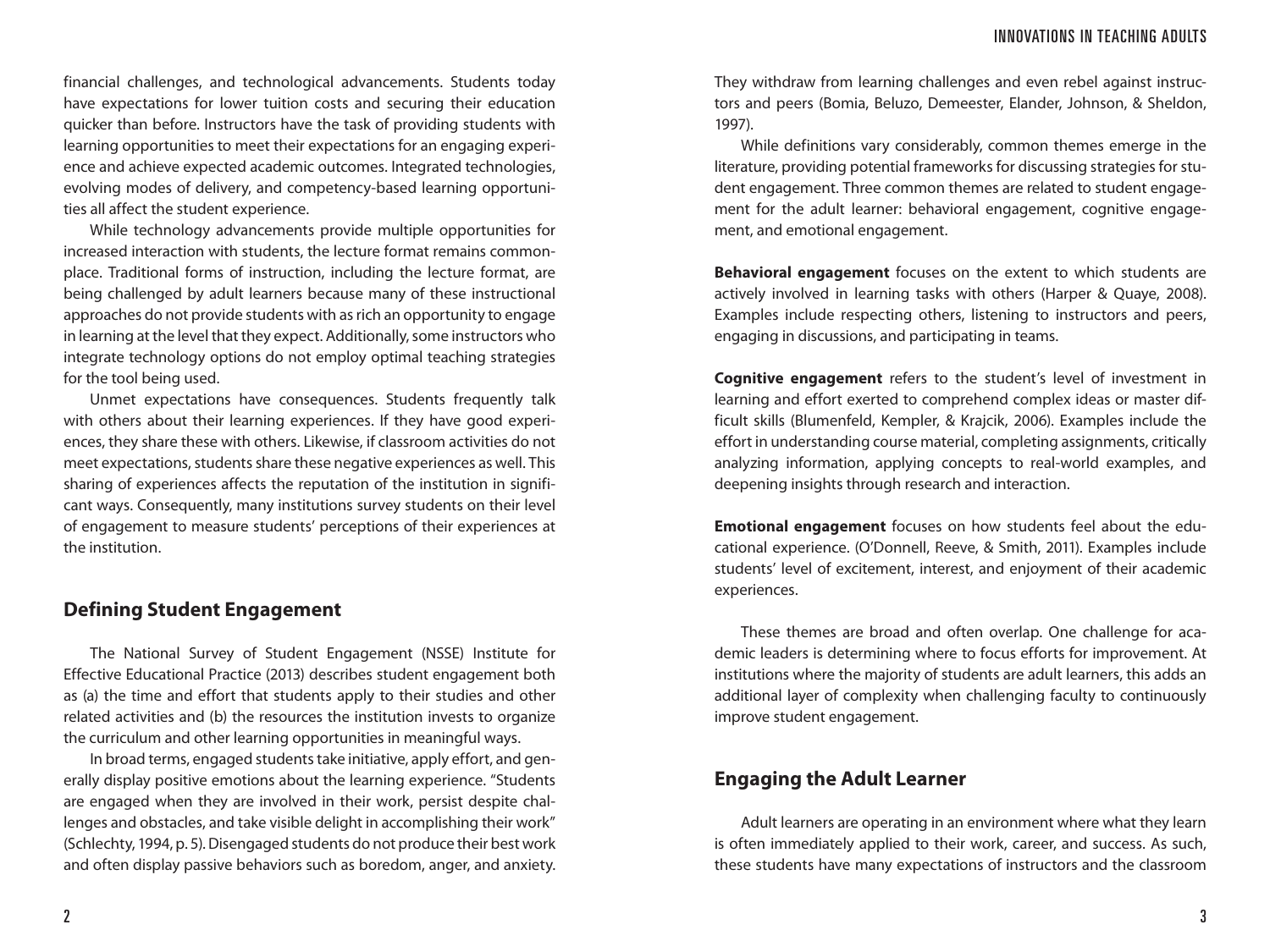financial challenges, and technological advancements. Students today have expectations for lower tuition costs and securing their education quicker than before. Instructors have the task of providing students with learning opportunities to meet their expectations for an engaging experience and achieve expected academic outcomes. Integrated technologies, evolving modes of delivery, and competency-based learning opportunities all affect the student experience.

While technology advancements provide multiple opportunities for increased interaction with students, the lecture format remains commonplace. Traditional forms of instruction, including the lecture format, are being challenged by adult learners because many of these instructional approaches do not provide students with as rich an opportunity to engage in learning at the level that they expect. Additionally, some instructors who integrate technology options do not employ optimal teaching strategies for the tool being used.

Unmet expectations have consequences. Students frequently talk with others about their learning experiences. If they have good experiences, they share these with others. Likewise, if classroom activities do not meet expectations, students share these negative experiences as well. This sharing of experiences affects the reputation of the institution in significant ways. Consequently, many institutions survey students on their level of engagement to measure students' perceptions of their experiences at the institution.

## **Defining Student Engagement**

The National Survey of Student Engagement (NSSE) Institute for Effective Educational Practice (2013) describes student engagement both as (a) the time and effort that students apply to their studies and other related activities and (b) the resources the institution invests to organize the curriculum and other learning opportunities in meaningful ways.

In broad terms, engaged students take initiative, apply effort, and generally display positive emotions about the learning experience. "Students are engaged when they are involved in their work, persist despite challenges and obstacles, and take visible delight in accomplishing their work" (Schlechty, 1994, p. 5). Disengaged students do not produce their best work and often display passive behaviors such as boredom, anger, and anxiety. They withdraw from learning challenges and even rebel against instructors and peers (Bomia, Beluzo, Demeester, Elander, Johnson, & Sheldon, 1997).

While definitions vary considerably, common themes emerge in the literature, providing potential frameworks for discussing strategies for student engagement. Three common themes are related to student engagement for the adult learner: behavioral engagement, cognitive engagement, and emotional engagement.

**Behavioral engagement** focuses on the extent to which students are actively involved in learning tasks with others (Harper & Quaye, 2008). Examples include respecting others, listening to instructors and peers, engaging in discussions, and participating in teams.

**Cognitive engagement** refers to the student's level of investment in learning and effort exerted to comprehend complex ideas or master difficult skills (Blumenfeld, Kempler, & Krajcik, 2006). Examples include the effort in understanding course material, completing assignments, critically analyzing information, applying concepts to real-world examples, and deepening insights through research and interaction.

**Emotional engagement** focuses on how students feel about the educational experience. (O'Donnell, Reeve, & Smith, 2011). Examples include students' level of excitement, interest, and enjoyment of their academic experiences.

These themes are broad and often overlap. One challenge for academic leaders is determining where to focus efforts for improvement. At institutions where the majority of students are adult learners, this adds an additional layer of complexity when challenging faculty to continuously improve student engagement.

## **Engaging the Adult Learner**

Adult learners are operating in an environment where what they learn is often immediately applied to their work, career, and success. As such, these students have many expectations of instructors and the classroom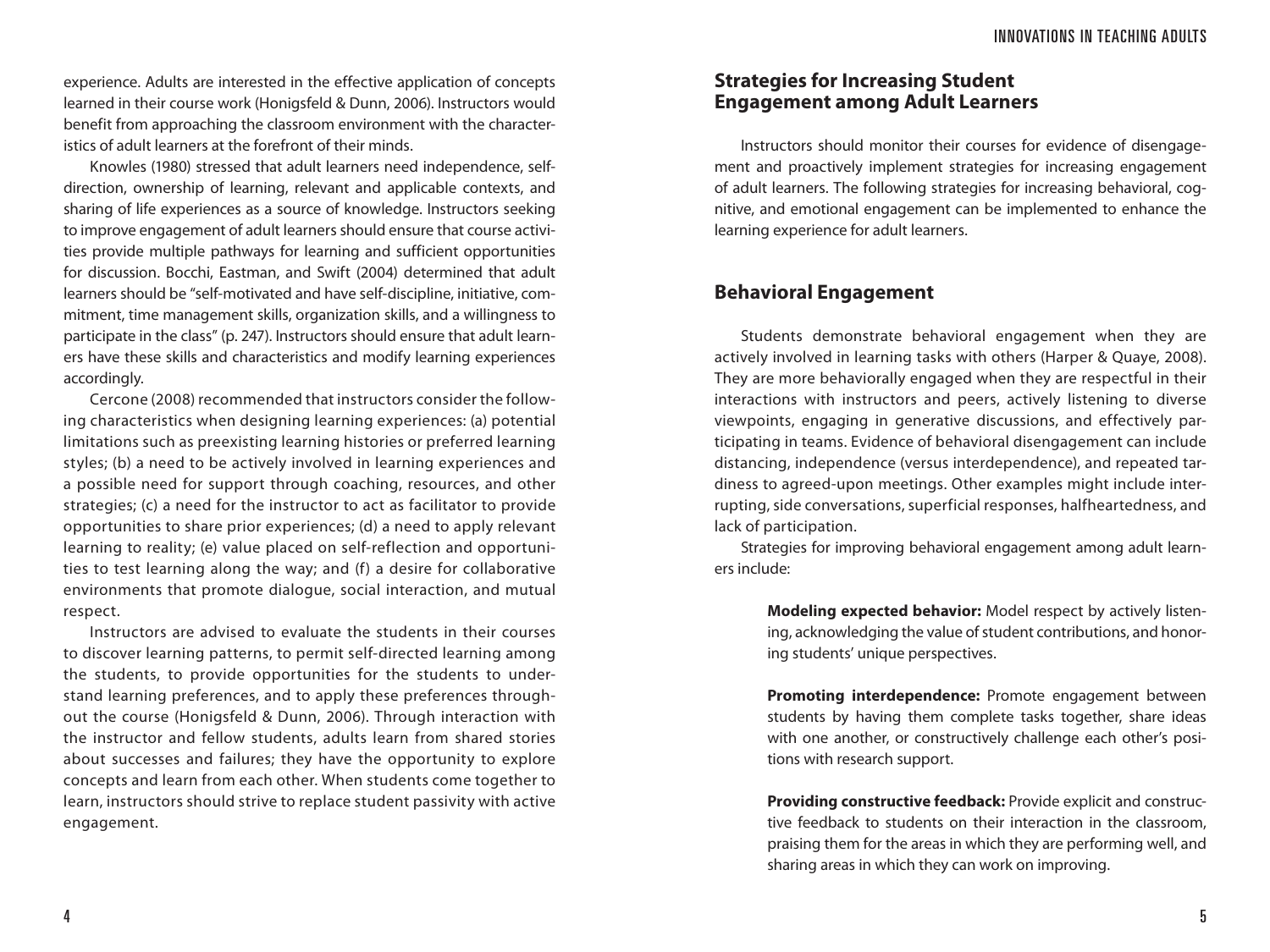experience. Adults are interested in the effective application of concepts learned in their course work (Honigsfeld & Dunn, 2006). Instructors would benefit from approaching the classroom environment with the characteristics of adult learners at the forefront of their minds.

Knowles (1980) stressed that adult learners need independence, selfdirection, ownership of learning, relevant and applicable contexts, and sharing of life experiences as a source of knowledge. Instructors seeking to improve engagement of adult learners should ensure that course activities provide multiple pathways for learning and sufficient opportunities for discussion. Bocchi, Eastman, and Swift (2004) determined that adult learners should be "self-motivated and have self-discipline, initiative, commitment, time management skills, organization skills, and a willingness to participate in the class" (p. 247). Instructors should ensure that adult learners have these skills and characteristics and modify learning experiences accordingly.

Cercone (2008) recommended that instructors consider the following characteristics when designing learning experiences: (a) potential limitations such as preexisting learning histories or preferred learning styles; (b) a need to be actively involved in learning experiences and a possible need for support through coaching, resources, and other strategies; (c) a need for the instructor to act as facilitator to provide opportunities to share prior experiences; (d) a need to apply relevant learning to reality; (e) value placed on self-reflection and opportunities to test learning along the way; and (f) a desire for collaborative environments that promote dialogue, social interaction, and mutual respect.

Instructors are advised to evaluate the students in their courses to discover learning patterns, to permit self-directed learning among the students, to provide opportunities for the students to understand learning preferences, and to apply these preferences throughout the course (Honigsfeld & Dunn, 2006). Through interaction with the instructor and fellow students, adults learn from shared stories about successes and failures; they have the opportunity to explore concepts and learn from each other. When students come together to learn, instructors should strive to replace student passivity with active engagement.

## **Strategies for Increasing Student Engagement among Adult Learners**

Instructors should monitor their courses for evidence of disengagement and proactively implement strategies for increasing engagement of adult learners. The following strategies for increasing behavioral, cognitive, and emotional engagement can be implemented to enhance the learning experience for adult learners.

#### **Behavioral Engagement**

Students demonstrate behavioral engagement when they are actively involved in learning tasks with others (Harper & Quaye, 2008). They are more behaviorally engaged when they are respectful in their interactions with instructors and peers, actively listening to diverse viewpoints, engaging in generative discussions, and effectively participating in teams. Evidence of behavioral disengagement can include distancing, independence (versus interdependence), and repeated tardiness to agreed-upon meetings. Other examples might include interrupting, side conversations, superficial responses, halfheartedness, and lack of participation.

Strategies for improving behavioral engagement among adult learners include:

> **Modeling expected behavior:** Model respect by actively listening, acknowledging the value of student contributions, and honoring students' unique perspectives.

> **Promoting interdependence:** Promote engagement between students by having them complete tasks together, share ideas with one another, or constructively challenge each other's positions with research support.

> **Providing constructive feedback:** Provide explicit and constructive feedback to students on their interaction in the classroom, praising them for the areas in which they are performing well, and sharing areas in which they can work on improving.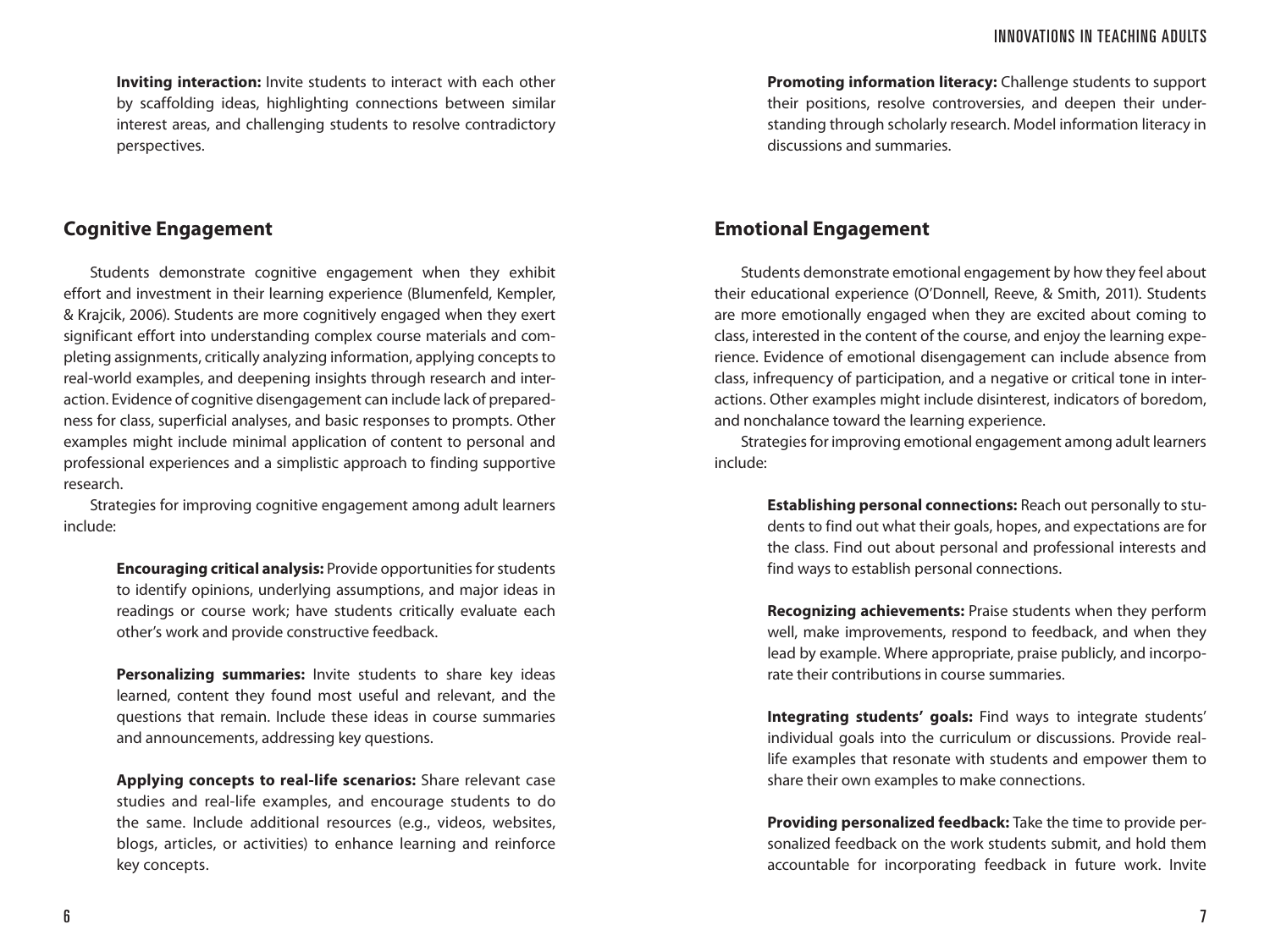**Inviting interaction:** Invite students to interact with each other by scaffolding ideas, highlighting connections between similar interest areas, and challenging students to resolve contradictory perspectives.

## **Cognitive Engagement**

Students demonstrate cognitive engagement when they exhibit effort and investment in their learning experience (Blumenfeld, Kempler, & Krajcik, 2006). Students are more cognitively engaged when they exert significant effort into understanding complex course materials and completing assignments, critically analyzing information, applying concepts to real-world examples, and deepening insights through research and interaction. Evidence of cognitive disengagement can include lack of preparedness for class, superficial analyses, and basic responses to prompts. Other examples might include minimal application of content to personal and professional experiences and a simplistic approach to finding supportive research.

Strategies for improving cognitive engagement among adult learners include:

> **Encouraging critical analysis:** Provide opportunities for students to identify opinions, underlying assumptions, and major ideas in readings or course work; have students critically evaluate each other's work and provide constructive feedback.

> **Personalizing summaries:** Invite students to share key ideas learned, content they found most useful and relevant, and the questions that remain. Include these ideas in course summaries and announcements, addressing key questions.

> **Applying concepts to real-life scenarios:** Share relevant case studies and real-life examples, and encourage students to do the same. Include additional resources (e.g., videos, websites, blogs, articles, or activities) to enhance learning and reinforce key concepts.

**Promoting information literacy:** Challenge students to support their positions, resolve controversies, and deepen their understanding through scholarly research. Model information literacy in discussions and summaries.

## **Emotional Engagement**

Students demonstrate emotional engagement by how they feel about their educational experience (O'Donnell, Reeve, & Smith, 2011). Students are more emotionally engaged when they are excited about coming to class, interested in the content of the course, and enjoy the learning experience. Evidence of emotional disengagement can include absence from class, infrequency of participation, and a negative or critical tone in interactions. Other examples might include disinterest, indicators of boredom, and nonchalance toward the learning experience.

Strategies for improving emotional engagement among adult learners include:

> **Establishing personal connections:** Reach out personally to students to find out what their goals, hopes, and expectations are for the class. Find out about personal and professional interests and find ways to establish personal connections.

> **Recognizing achievements:** Praise students when they perform well, make improvements, respond to feedback, and when they lead by example. Where appropriate, praise publicly, and incorporate their contributions in course summaries.

> **Integrating students' goals:** Find ways to integrate students' individual goals into the curriculum or discussions. Provide reallife examples that resonate with students and empower them to share their own examples to make connections.

> **Providing personalized feedback:** Take the time to provide personalized feedback on the work students submit, and hold them accountable for incorporating feedback in future work. Invite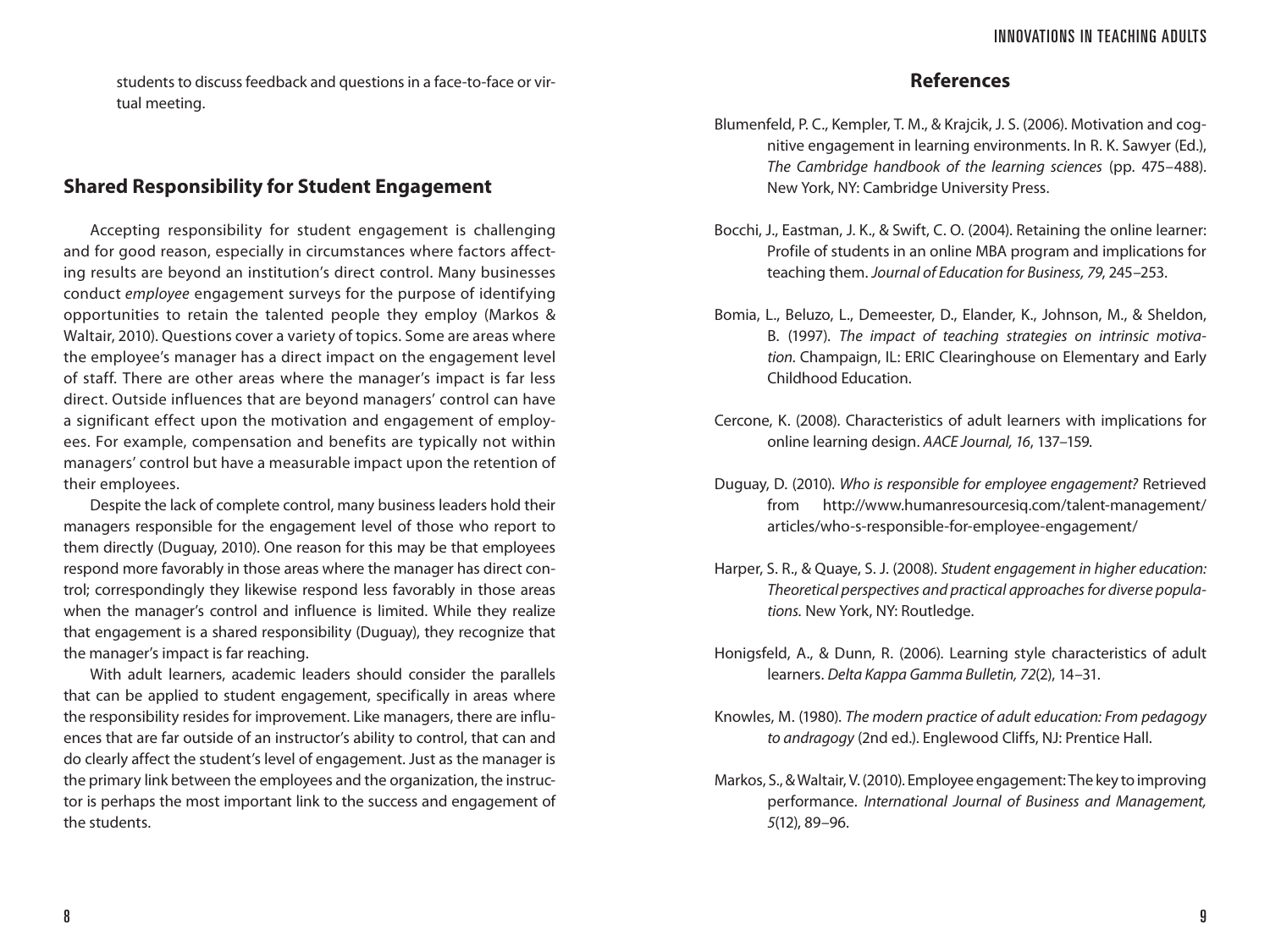students to discuss feedback and questions in a face-to-face or virtual meeting.

## **Shared Responsibility for Student Engagement**

Accepting responsibility for student engagement is challenging and for good reason, especially in circumstances where factors affecting results are beyond an institution's direct control. Many businesses conduct *employee* engagement surveys for the purpose of identifying opportunities to retain the talented people they employ (Markos & Waltair, 2010). Questions cover a variety of topics. Some are areas where the employee's manager has a direct impact on the engagement level of staff. There are other areas where the manager's impact is far less direct. Outside influences that are beyond managers' control can have a significant effect upon the motivation and engagement of employees. For example, compensation and benefits are typically not within managers' control but have a measurable impact upon the retention of their employees.

Despite the lack of complete control, many business leaders hold their managers responsible for the engagement level of those who report to them directly (Duguay, 2010). One reason for this may be that employees respond more favorably in those areas where the manager has direct control; correspondingly they likewise respond less favorably in those areas when the manager's control and influence is limited. While they realize that engagement is a shared responsibility (Duguay), they recognize that the manager's impact is far reaching.

With adult learners, academic leaders should consider the parallels that can be applied to student engagement, specifically in areas where the responsibility resides for improvement. Like managers, there are influences that are far outside of an instructor's ability to control, that can and do clearly affect the student's level of engagement. Just as the manager is the primary link between the employees and the organization, the instructor is perhaps the most important link to the success and engagement of the students.

#### **References**

- Blumenfeld, P. C., Kempler, T. M., & Krajcik, J. S. (2006). Motivation and cognitive engagement in learning environments. In R. K. Sawyer (Ed.), *The Cambridge handbook of the learning sciences* (pp. 475–488). New York, NY: Cambridge University Press.
- Bocchi, J., Eastman, J. K., & Swift, C. O. (2004). Retaining the online learner: Profile of students in an online MBA program and implications for teaching them. *Journal of Education for Business, 79*, 245–253.
- Bomia, L., Beluzo, L., Demeester, D., Elander, K., Johnson, M., & Sheldon, B. (1997). *The impact of teaching strategies on intrinsic motivation.* Champaign, IL: ERIC Clearinghouse on Elementary and Early Childhood Education.
- Cercone, K. (2008). Characteristics of adult learners with implications for online learning design. *AACE Journal, 16*, 137–159.
- Duguay, D. (2010). *Who is responsible for employee engagement?* Retrieved from http://www.humanresourcesiq.com/talent-management/ articles/who-s-responsible-for-employee-engagement/
- Harper, S. R., & Quaye, S. J. (2008). *Student engagement in higher education: Theoretical perspectives and practical approaches for diverse populations.* New York, NY: Routledge.
- Honigsfeld, A., & Dunn, R. (2006). Learning style characteristics of adult learners. *Delta Kappa Gamma Bulletin, 72*(2), 14–31.
- Knowles, M. (1980). *The modern practice of adult education: From pedagogy to andragogy* (2nd ed.). Englewood Cliffs, NJ: Prentice Hall.
- Markos, S., & Waltair, V. (2010). Employee engagement: The key to improving performance. *International Journal of Business and Management, 5*(12), 89–96.